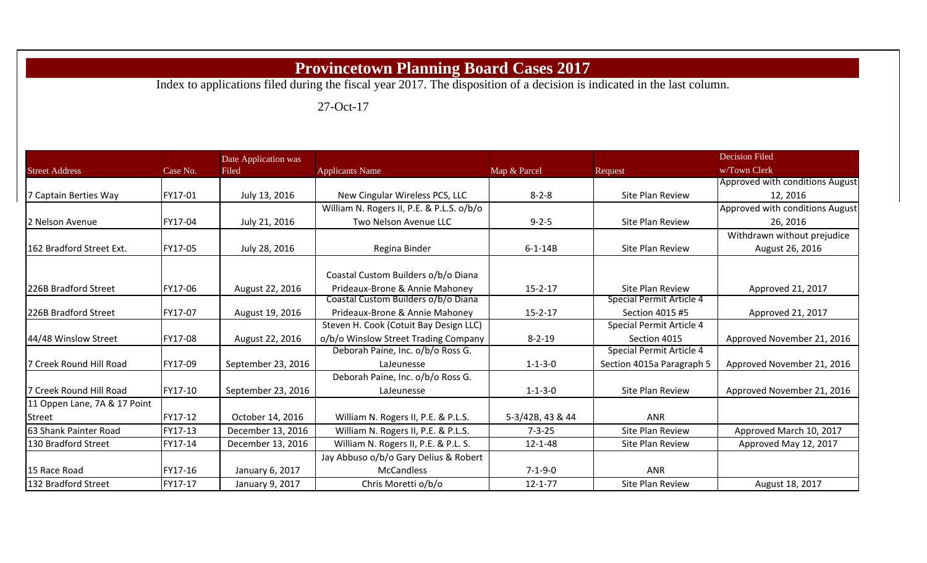## **Provincetown Planning Board Cases 2017**

Index to applications filed during the fiscal year 2017. The disposition of a decision is indicated in the last column.

27-Oct-17

|                              |          | Date Application was |                                           |                  |                           | <b>Decision Filed</b>           |
|------------------------------|----------|----------------------|-------------------------------------------|------------------|---------------------------|---------------------------------|
| <b>Street Address</b>        | Case No. | Filed                | <b>Applicants Name</b>                    | Map & Parcel     | Request                   | w/Town Clerk                    |
|                              |          |                      |                                           |                  |                           | Approved with conditions August |
| 7 Captain Berties Way        | FY17-01  | July 13, 2016        | New Cingular Wireless PCS, LLC            | $8 - 2 - 8$      | Site Plan Review          | 12, 2016                        |
|                              |          |                      | William N. Rogers II, P.E. & P.L.S. o/b/o |                  |                           | Approved with conditions August |
| <b>I2 Nelson Avenue</b>      | FY17-04  | July 21, 2016        | Two Nelson Avenue LLC                     | $9 - 2 - 5$      | Site Plan Review          | 26, 2016                        |
|                              |          |                      |                                           |                  |                           | Withdrawn without prejudice     |
| 162 Bradford Street Ext.     | FY17-05  | July 28, 2016        | Regina Binder                             | $6 - 1 - 14B$    | Site Plan Review          | August 26, 2016                 |
|                              |          |                      | Coastal Custom Builders o/b/o Diana       |                  |                           |                                 |
| 226B Bradford Street         | FY17-06  | August 22, 2016      | Prideaux-Brone & Annie Mahoney            | $15 - 2 - 17$    | Site Plan Review          | Approved 21, 2017               |
|                              |          |                      | Coastal Custom Builders o/b/o Diana       |                  | Special Permit Article 4  |                                 |
| 226B Bradford Street         | FY17-07  | August 19, 2016      | Prideaux-Brone & Annie Mahoney            | $15 - 2 - 17$    | Section 4015 #5           | Approved 21, 2017               |
|                              |          |                      | Steven H. Cook (Cotuit Bay Design LLC)    |                  | Special Permit Article 4  |                                 |
| 44/48 Winslow Street         | FY17-08  | August 22, 2016      | o/b/o Winslow Street Trading Company      | $8 - 2 - 19$     | Section 4015              | Approved November 21, 2016      |
|                              |          |                      | Deborah Paine, Inc. o/b/o Ross G.         |                  | Special Permit Article 4  |                                 |
| 7 Creek Round Hill Road      | FY17-09  | September 23, 2016   | LaJeunesse                                | $1 - 1 - 3 - 0$  | Section 4015a Paragraph 5 | Approved November 21, 2016      |
|                              |          |                      | Deborah Paine, Inc. o/b/o Ross G.         |                  |                           |                                 |
| 7 Creek Round Hill Road      | FY17-10  | September 23, 2016   | LaJeunesse                                | $1 - 1 - 3 - 0$  | Site Plan Review          | Approved November 21, 2016      |
| 11 Oppen Lane, 7A & 17 Point |          |                      |                                           |                  |                           |                                 |
| <b>Street</b>                | FY17-12  | October 14, 2016     | William N. Rogers II, P.E. & P.L.S.       | 5-3/42B, 43 & 44 | <b>ANR</b>                |                                 |
| 63 Shank Painter Road        | FY17-13  | December 13, 2016    | William N. Rogers II, P.E. & P.L.S.       | $7 - 3 - 25$     | Site Plan Review          | Approved March 10, 2017         |
| 130 Bradford Street          | FY17-14  | December 13, 2016    | William N. Rogers II, P.E. & P.L. S.      | $12 - 1 - 48$    | Site Plan Review          | Approved May 12, 2017           |
|                              |          |                      | Jay Abbuso o/b/o Gary Delius & Robert     |                  |                           |                                 |
| 15 Race Road                 | FY17-16  | January 6, 2017      | <b>McCandless</b>                         | $7 - 1 - 9 - 0$  | <b>ANR</b>                |                                 |
| 132 Bradford Street          | FY17-17  | January 9, 2017      | Chris Moretti o/b/o                       | $12 - 1 - 77$    | Site Plan Review          | August 18, 2017                 |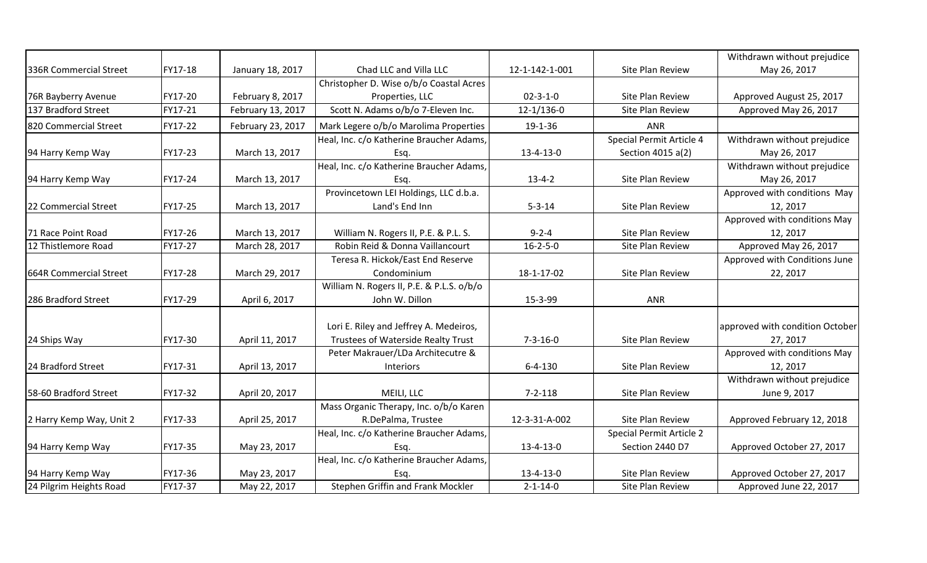|                          |         |                   |                                           |                   |                          | Withdrawn without prejudice     |
|--------------------------|---------|-------------------|-------------------------------------------|-------------------|--------------------------|---------------------------------|
| 336R Commercial Street   | FY17-18 | January 18, 2017  | Chad LLC and Villa LLC                    | 12-1-142-1-001    | Site Plan Review         | May 26, 2017                    |
|                          |         |                   | Christopher D. Wise o/b/o Coastal Acres   |                   |                          |                                 |
| 76R Bayberry Avenue      | FY17-20 | February 8, 2017  | Properties, LLC                           | $02 - 3 - 1 - 0$  | Site Plan Review         | Approved August 25, 2017        |
| 137 Bradford Street      | FY17-21 | February 13, 2017 | Scott N. Adams o/b/o 7-Eleven Inc.        | $12-1/136-0$      | Site Plan Review         | Approved May 26, 2017           |
| 820 Commercial Street    | FY17-22 | February 23, 2017 | Mark Legere o/b/o Marolima Properties     | 19-1-36           | <b>ANR</b>               |                                 |
|                          |         |                   | Heal, Inc. c/o Katherine Braucher Adams,  |                   | Special Permit Article 4 | Withdrawn without prejudice     |
| 94 Harry Kemp Way        | FY17-23 | March 13, 2017    | Esq.                                      | 13-4-13-0         | Section 4015 a(2)        | May 26, 2017                    |
|                          |         |                   | Heal, Inc. c/o Katherine Braucher Adams,  |                   |                          | Withdrawn without prejudice     |
| 94 Harry Kemp Way        | FY17-24 | March 13, 2017    | Esq.                                      | $13 - 4 - 2$      | Site Plan Review         | May 26, 2017                    |
|                          |         |                   | Provincetown LEI Holdings, LLC d.b.a.     |                   |                          | Approved with conditions May    |
| 22 Commercial Street     | FY17-25 | March 13, 2017    | Land's End Inn                            | $5 - 3 - 14$      | Site Plan Review         | 12, 2017                        |
|                          |         |                   |                                           |                   |                          | Approved with conditions May    |
| 71 Race Point Road       | FY17-26 | March 13, 2017    | William N. Rogers II, P.E. & P.L. S.      | $9 - 2 - 4$       | Site Plan Review         | 12, 2017                        |
| 12 Thistlemore Road      | FY17-27 | March 28, 2017    | Robin Reid & Donna Vaillancourt           | $16 - 2 - 5 - 0$  | Site Plan Review         | Approved May 26, 2017           |
|                          |         |                   | Teresa R. Hickok/East End Reserve         |                   |                          | Approved with Conditions June   |
| 664R Commercial Street   | FY17-28 | March 29, 2017    | Condominium                               | 18-1-17-02        | Site Plan Review         | 22, 2017                        |
|                          |         |                   | William N. Rogers II, P.E. & P.L.S. o/b/o |                   |                          |                                 |
| 286 Bradford Street      | FY17-29 | April 6, 2017     | John W. Dillon                            | 15-3-99           | <b>ANR</b>               |                                 |
|                          |         |                   |                                           |                   |                          |                                 |
|                          |         |                   | Lori E. Riley and Jeffrey A. Medeiros,    |                   |                          | approved with condition October |
| 24 Ships Way             | FY17-30 | April 11, 2017    | Trustees of Waterside Realty Trust        | $7 - 3 - 16 - 0$  | Site Plan Review         | 27, 2017                        |
|                          |         |                   | Peter Makrauer/LDa Architecutre &         |                   |                          | Approved with conditions May    |
| 24 Bradford Street       | FY17-31 | April 13, 2017    | Interiors                                 | $6 - 4 - 130$     | Site Plan Review         | 12, 2017                        |
|                          |         |                   |                                           |                   |                          | Withdrawn without prejudice     |
| 58-60 Bradford Street    | FY17-32 | April 20, 2017    | MEILI, LLC                                | $7 - 2 - 118$     | Site Plan Review         | June 9, 2017                    |
|                          |         |                   | Mass Organic Therapy, Inc. o/b/o Karen    |                   |                          |                                 |
| 2 Harry Kemp Way, Unit 2 | FY17-33 | April 25, 2017    | R.DePalma, Trustee                        | 12-3-31-A-002     | Site Plan Review         | Approved February 12, 2018      |
|                          |         |                   | Heal, Inc. c/o Katherine Braucher Adams,  |                   | Special Permit Article 2 |                                 |
| 94 Harry Kemp Way        | FY17-35 | May 23, 2017      | Esq.                                      | $13 - 4 - 13 - 0$ | Section 2440 D7          | Approved October 27, 2017       |
|                          |         |                   | Heal, Inc. c/o Katherine Braucher Adams,  |                   |                          |                                 |
| 94 Harry Kemp Way        | FY17-36 | May 23, 2017      | Esq.                                      | 13-4-13-0         | Site Plan Review         | Approved October 27, 2017       |
| 24 Pilgrim Heights Road  | FY17-37 | May 22, 2017      | Stephen Griffin and Frank Mockler         | $2 - 1 - 14 - 0$  | Site Plan Review         | Approved June 22, 2017          |